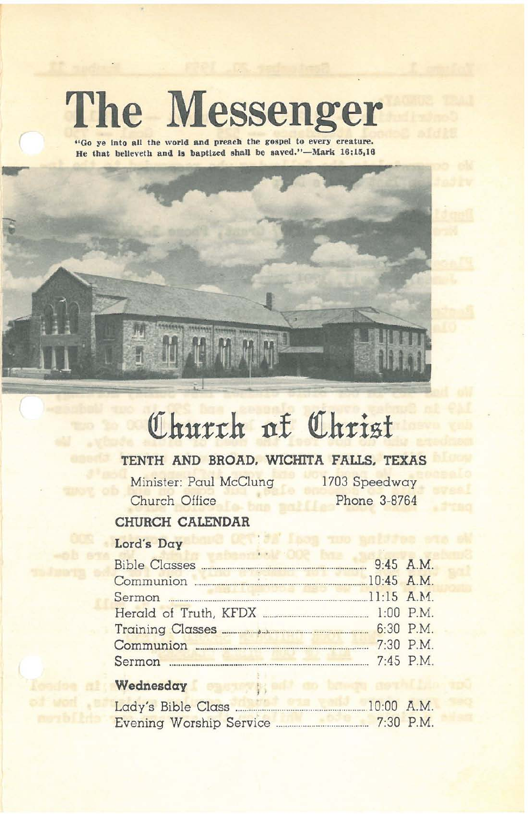# **The Messenger**

**"Go ye Into all the \Vorld and preach the g08pel to every creature. He that believeth and <sup>18</sup> baptized shaU be laved."-l\lark 16:13,10**



## **QIhurt:h 11£ QIhrist**

### **TENTH AND BROAD. WICHITA FAIJ.S. TEXAS**

Minister: Paul McClung Church Office

1703 Speedway Phone 3-8764

### **CHURCH CALENDAR**

### Lord's **Day**

| Communion 2008 20145 A.M.            |           |
|--------------------------------------|-----------|
|                                      |           |
|                                      |           |
|                                      |           |
| Communion <b>Executive Communion</b> | 7:30 P.M. |
|                                      |           |

#### **Wednesday**

t von .st

| Lady's Bible Class.     | $10:00$ A.M. |             |
|-------------------------|--------------|-------------|
| Evening Worship Service |              | $7:30$ P.M. |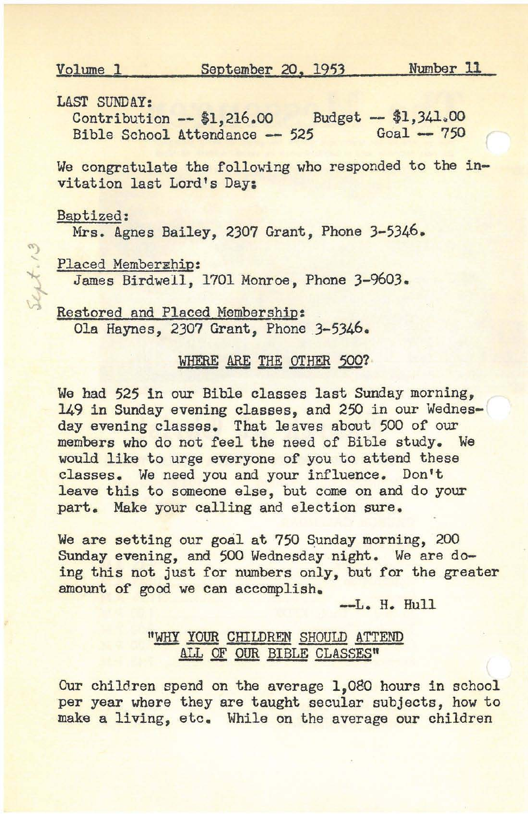Volume 1 September 20. 1953 Number 11

LAST SUNDAY:

contribution -- \$1,216.00 Budget -- \$1,341.00 Bible School Attendance -- 525  $Goal - 750$ 

We congratulate the following who responded to the invitation last Lord's Day:

Baptized:

Test 13

Mrs. Agnes Bailey, 2307 Grant, Phone 3-5346.

Placed Memberghip:

James Birdwell, 1701 Monroe, Phone 3-9603.

Restored and Placed Membership: Ola Haynes, 2307 Grant, Phone 3-5346.

#### WHERE ARE THE OTHER 500?

We had 525 in our Bible classes last Sunday morning, 149 in Sunday evening classes, and 250 in our Wednesday evening classes. That leaves about 500 of our members who do not feel the need of Bible study. We would like to urge everyone of you to attend these classes. We need you and your influence. Don't leave this to someone else, but come on and do your part. Make your calling and election sure.

We are setting our goal at 750 Sunday morning, 200 Sunday evening, and 500 Wednesday night. We are doing this not just for numbers only, but for the greater amount of good we can accomplish.

**-L.** H. Hull

#### "WHY YOUR CHILDREN SHOULD ATTEND ALL OF OUR BIBLE CLASSES"

Our children spend on the average 1,080 hours in school per year where they are taught secular subjects, how to make a living, etc. While on the average our children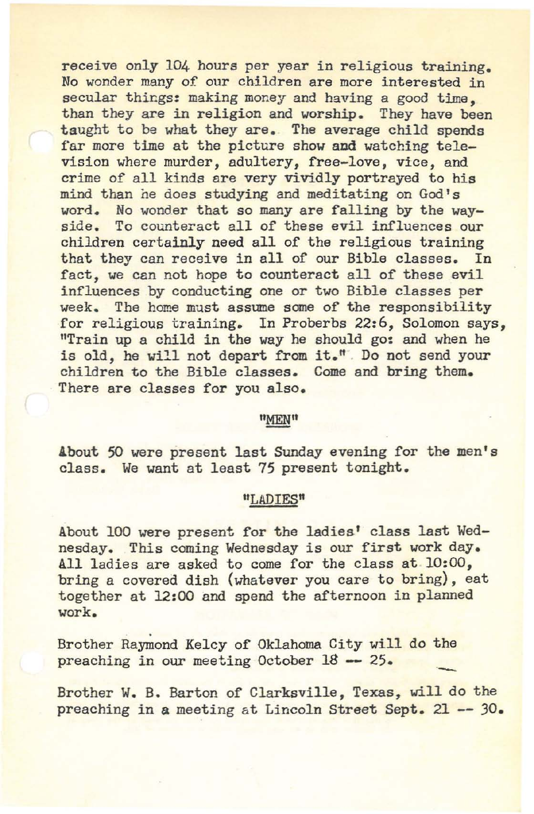receive only 104 hours per year in religious training. No wonder many of our children are more interested in secular things: making money and having a good time, than they are in religion and worship. They have been taught to be what they are. The average child spends far more time at the picture show and watching television where murder, adultery, free-love, vice, and crime of all kinds are very vividly portrayed to his mind than he does studying and meditating on God's word. No wonder that so many are falling by the wayside. To counteract all of these evil influences our children certainly need all of the religious training that they can receive in all of our Bible classes. In fact, we can not hope to counteract all of these evil influences by conducting one or two Bible classes per week. The home must assume some of the responsibility for religious training. In Proberbs 22:6, Solomon says, "Train up a child in the way he should go: and when he is old, he will not depart from it." . Do not send your children to the Bible classes. Come and bring them. There are classes for you also.

#### "MEN"

About 50 were present last Sunday evening for the men's class. We want at least 75 present tonight.

#### "LADIES"

About 100 were present for the ladies' class last Wednesday. This coming Wednesday is our first work day. All ladies are asked to come for the class at 10:00, bring a covered dish (whatever you care to bring), eat together at 12:00 and spend the afternoon in planned **work.**

Brother Raymond Kelcy of Oklahoma City will do the preaching in our meeting October 18 -- 25. preaching in our meeting October 18 -- 25.

Brother W. B. Barton of Clarksville, Texas, will do the preaching in a meeting at Lincoln Street Sept. 21 **--** )0.